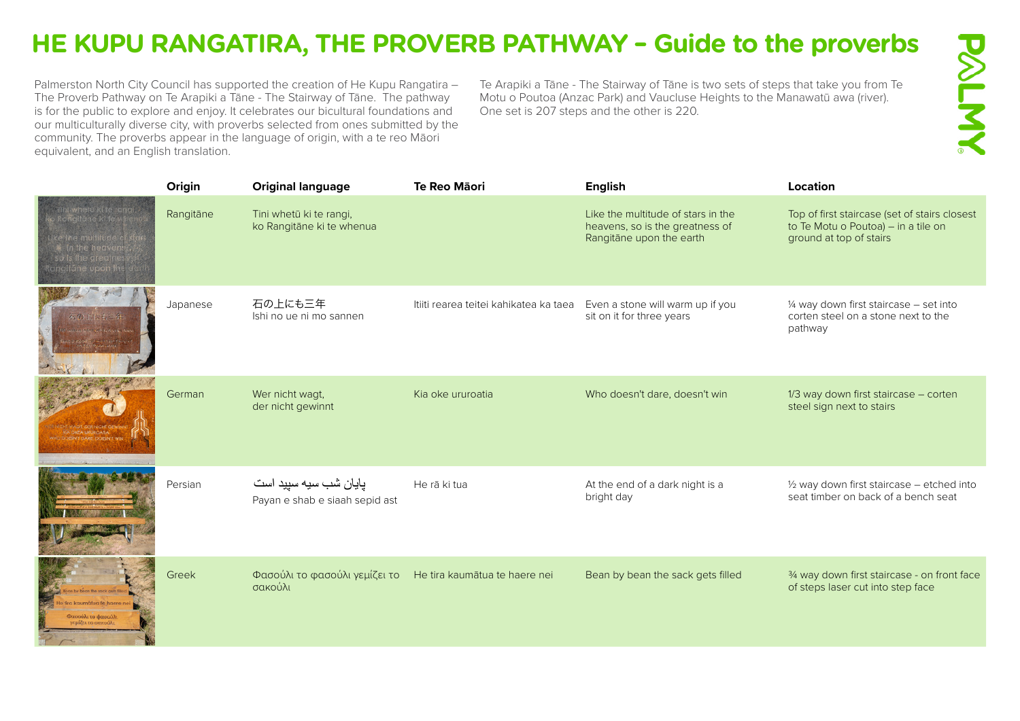## **HE KUPU RANGATIRA, THE PROVERB PATHWAY – Guide to the proverbs**

Palmerston North City Council has supported the creation of He Kupu Rangatira – The Proverb Pathway on Te Arapiki a Tāne - The Stairway of Tāne. The pathway is for the public to explore and enjoy. It celebrates our bicultural foundations and our multiculturally diverse city, with proverbs selected from ones submitted by the community. The proverbs appear in the language of origin, with a te reo Māori equivalent, and an English translation.

Te Arapiki a Tāne - The Stairway of Tāne is two sets of steps that take you from Te Motu o Poutoa (Anzac Park) and Vaucluse Heights to the Manawatū awa (river). One set is 207 steps and the other is 220.

|                                                                                                                                     | Origin    | <b>Original language</b>                                | Te Reo Māori                           | <b>English</b>                                                                                    | Location                                                                                                        |
|-------------------------------------------------------------------------------------------------------------------------------------|-----------|---------------------------------------------------------|----------------------------------------|---------------------------------------------------------------------------------------------------|-----------------------------------------------------------------------------------------------------------------|
| . Tihi whelu ki te rangi.<br>o Rohgilane ki te when<br>Like the multitude<br>in the heave<br>so is the greatal<br>Rangitane upon in | Rangitāne | Tini whetū ki te rangi,<br>ko Rangitāne ki te whenua    |                                        | Like the multitude of stars in the<br>heavens, so is the greatness of<br>Rangitāne upon the earth | Top of first staircase (set of stairs closest<br>to Te Motu o Poutoa) - in a tile on<br>ground at top of stairs |
|                                                                                                                                     | Japanese  | 石の上にも三年<br>Ishi no ue ni mo sannen                      | Itiiti rearea teitei kahikatea ka taea | Even a stone will warm up if you<br>sit on it for three years                                     | 1/4 way down first staircase - set into<br>corten steel on a stone next to the<br>pathway                       |
|                                                                                                                                     | German    | Wer nicht wagt,<br>der nicht gewinnt                    | Kia oke ururoatia                      | Who doesn't dare, doesn't win                                                                     | 1/3 way down first staircase - corten<br>steel sign next to stairs                                              |
|                                                                                                                                     | Persian   | پایان شب سیه سپید است<br>Payan e shab e siaah sepid ast | He rā ki tua                           | At the end of a dark night is a<br>bright day                                                     | 1/2 way down first staircase - etched into<br>seat timber on back of a bench seat                               |
| σούλι το φασούλ<br>μίζει το σακούλ                                                                                                  | Greek     | Φασούλι το φασούλι γεμίζει το<br>σακούλι                | He tira kaumātua te haere nei          | Bean by bean the sack gets filled                                                                 | 3/4 way down first staircase - on front face<br>of steps laser cut into step face                               |

**PALIMY**